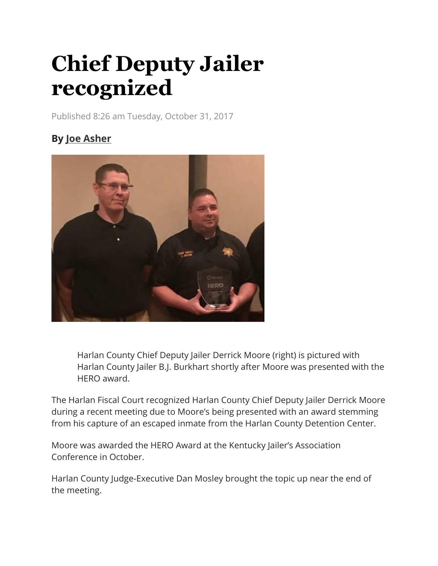## **Chief Deputy Jailer recognized**

Published 8:26 am Tuesday, October 31, 2017

## **By [Joe Asher](https://www.harlanenterprise.net/author/joe-asher/)**



Harlan County Chief Deputy Jailer Derrick Moore (right) is pictured with Harlan County Jailer B.J. Burkhart shortly after Moore was presented with the HERO award.

The Harlan Fiscal Court recognized Harlan County Chief Deputy Jailer Derrick Moore during a recent meeting due to Moore's being presented with an award stemming from his capture of an escaped inmate from the Harlan County Detention Center.

Moore was awarded the HERO Award at the Kentucky Jailer's Association Conference in October.

Harlan County Judge-Executive Dan Mosley brought the topic up near the end of the meeting.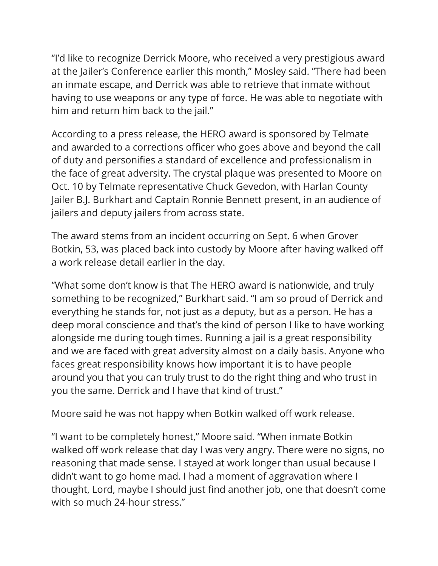"I'd like to recognize Derrick Moore, who received a very prestigious award at the Jailer's Conference earlier this month," Mosley said. "There had been an inmate escape, and Derrick was able to retrieve that inmate without having to use weapons or any type of force. He was able to negotiate with him and return him back to the jail."

According to a press release, the HERO award is sponsored by Telmate and awarded to a corrections officer who goes above and beyond the call of duty and personifies a standard of excellence and professionalism in the face of great adversity. The crystal plaque was presented to Moore on Oct. 10 by Telmate representative Chuck Gevedon, with Harlan County Jailer B.J. Burkhart and Captain Ronnie Bennett present, in an audience of jailers and deputy jailers from across state.

The award stems from an incident occurring on Sept. 6 when Grover Botkin, 53, was placed back into custody by Moore after having walked off a work release detail earlier in the day.

"What some don't know is that The HERO award is nationwide, and truly something to be recognized," Burkhart said. "I am so proud of Derrick and everything he stands for, not just as a deputy, but as a person. He has a deep moral conscience and that's the kind of person I like to have working alongside me during tough times. Running a jail is a great responsibility and we are faced with great adversity almost on a daily basis. Anyone who faces great responsibility knows how important it is to have people around you that you can truly trust to do the right thing and who trust in you the same. Derrick and I have that kind of trust."

Moore said he was not happy when Botkin walked off work release.

"I want to be completely honest," Moore said. "When inmate Botkin walked off work release that day I was very angry. There were no signs, no reasoning that made sense. I stayed at work longer than usual because I didn't want to go home mad. I had a moment of aggravation where I thought, Lord, maybe I should just find another job, one that doesn't come with so much 24-hour stress."